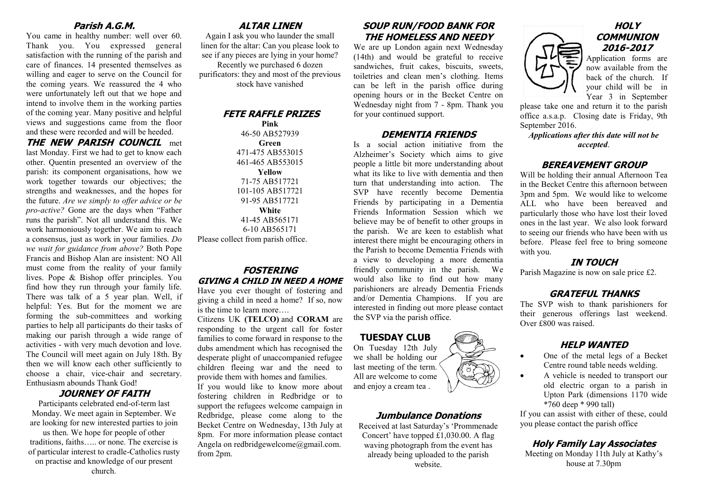#### **Parish A.G.M.**

You came in healthy number: well over 60. Thank you. You expressed general satisfaction with the running of the parish and care of finances. 14 presented themselves as willing and eager to serve on the Council for the coming years. We reassured the 4 who were unfortunately left out that we hope and intend to involve them in the working parties of the coming year. Many positive and helpful views and suggestions came from the floor and these were recorded and will be heeded.

**THE NEW PARISH COUNCIL** met

last Monday. First we had to get to know each other. Quentin presented an overview of the parish: its component organisations, how we work together towards our objectives; the strengths and weaknesses, and the hopes for the future. *Are we simply to offer advice or be pro-active?* Gone are the days when "Father runs the parish". Not all understand this. We work harmoniously together. We aim to reach a consensus, just as work in your families. *Do we wait for guidance from above?* Both Pope Francis and Bishop Alan are insistent: NO All must come from the reality of your family lives. Pope & Bishop offer principles. You find how they run through your family life. There was talk of a 5 year plan. Well, if helpful: Yes. But for the moment we are forming the sub-committees and working parties to help all participants do their tasks of making our parish through a wide range of activities - with very much devotion and love. The Council will meet again on July 18th. By then we will know each other sufficiently to choose a chair, vice-chair and secretary. Enthusiasm abounds Thank God!

#### **JOURNEY OF FAITH**

Participants celebrated end-of-term last Monday. We meet again in September. We are looking for new interested parties to join us then. We hope for people of other traditions, faiths….. or none. The exercise is of particular interest to cradle-Catholics rusty on practise and knowledge of our present church.

# **ALTAR LINEN**

Again I ask you who launder the small linen for the altar: Can you please look to see if any pieces are lying in your home?

Recently we purchased 6 dozen purificators: they and most of the previous stock have vanished

#### **FETE RAFFLE PRIZES**

**Pink** 46-50 AB527939 **Green** 471-475 AB553015 461-465 AB553015 **Yellow** 71-75 AB517721 101-105 AB517721 91-95 AB517721 **White** 41-45 AB565171 6-10 AB565171 Please collect from parish office.

## **FOSTERING GIVING A CHILD IN NEED A HOME**

Have you ever thought of fostering and giving a child in need a home? If so, now is the time to learn more….

Citizens UK **(TELCO)** and **CORAM** are responding to the urgent call for foster families to come forward in response to the dubs amendment which has recognised the desperate plight of unaccompanied refugee children fleeing war and the need to provide them with homes and families.

If you would like to know more about fostering children in Redbridge or to support the refugees welcome campaign in Redbridge, please come along to the Becket Centre on Wednesday, 13th July at 8pm. For more information please contact Angela on redbridgewelcome@gmail.com. from 2pm.

# **SOUP RUN/FOOD BANK FOR THE HOMELESS AND NEEDY**

We are up London again next Wednesday (14th) and would be grateful to receive sandwiches, fruit cakes, biscuits, sweets, toiletries and clean men's clothing. Items can be left in the parish office during opening hours or in the Becket Centre on Wednesday night from 7 - 8pm. Thank you for your continued support.

#### **DEMENTIA FRIENDS**

Is a social action initiative from the Alzheimer's Society which aims to give people a little bit more understanding about what its like to live with dementia and then turn that understanding into action. The SVP have recently become Dementia Friends by participating in a Dementia Friends Information Session which we believe may be of benefit to other groups in the parish. We are keen to establish what interest there might be encouraging others in the Parish to become Dementia Friends with a view to developing a more dementia friendly community in the parish. We would also like to find out how many parishioners are already Dementia Friends and/or Dementia Champions. If you are interested in finding out more please contact the SVP via the parish office.

#### **TUESDAY CLUB**

On Tuesday 12th July we shall be holding our last meeting of the term. All are welcome to come and enjoy a cream tea .

#### **Jumbulance Donations**

Received at last Saturday's 'Prommenade Concert' have topped £1,030.00. A flag waving photograph from the event has already being uploaded to the parish website.



Application forms are now available from the back of the church. If your child will be in Year 3 in September

please take one and return it to the parish office a.s.a.p. Closing date is Friday, 9th September 2016.

*Applications after this date will not be accepted*.

#### **BEREAVEMENT GROUP**

Will be holding their annual Afternoon Tea in the Becket Centre this afternoon between 3pm and 5pm. We would like to welcome ALL who have been bereaved and particularly those who have lost their loved ones in the last year. We also look forward to seeing our friends who have been with us before. Please feel free to bring someone with you.

# **IN TOUCH**

Parish Magazine is now on sale price £2.

# **GRATEFUL THANKS**

The SVP wish to thank parishioners for their generous offerings last weekend. Over £800 was raised.

# **HELP WANTED**

- One of the metal legs of a Becket Centre round table needs welding.
- A vehicle is needed to transport our old electric organ to a parish in Upton Park (dimensions 1170 wide \*760 deep \* 990 tall)

If you can assist with either of these, could you please contact the parish office

# **Holy Family Lay Associates**

Meeting on Monday 11th July at Kathy's house at 7.30pm